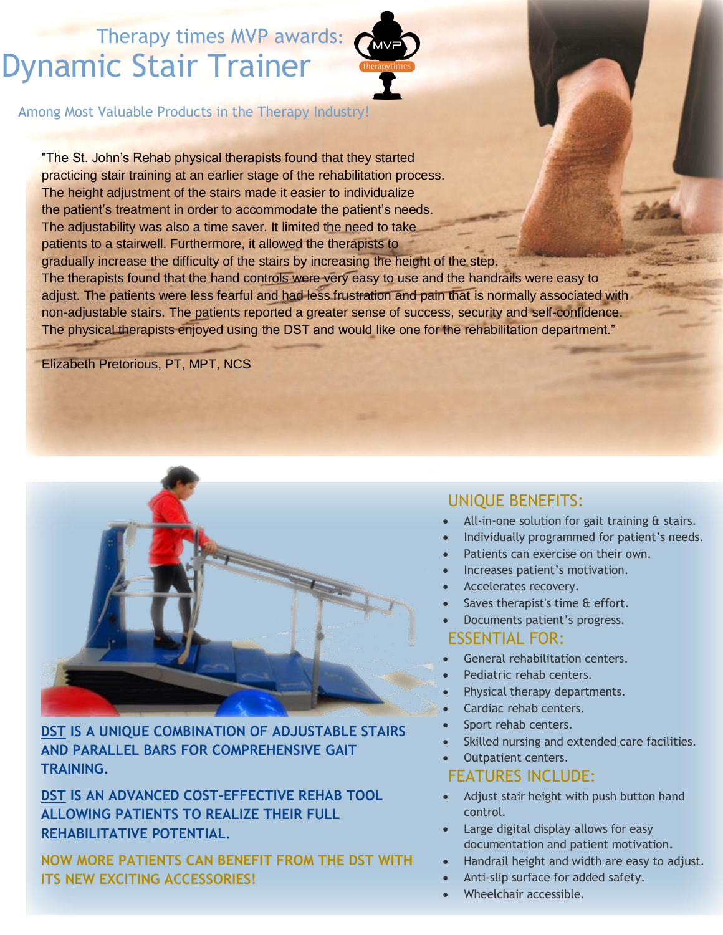# Therapy times MVP awards**:** Dynamic Stair Trainer



Among Most Valuable Products in the Therapy Industry!

"The St. John's Rehab physical therapists found that they started practicing stair training at an earlier stage of the rehabilitation process. The height adjustment of the stairs made it easier to individualize the patient's treatment in order to accommodate the patient's needs. The adjustability was also a time saver. It limited the need to take patients to a stairwell. Furthermore, it allowed the therapists to gradually increase the difficulty of the stairs by increasing the height of the step. The therapists found that the hand controls were very easy to use and the handrails were easy to adjust. The patients were less fearful and had less frustration and pain that is normally associated with non-adjustable stairs. The patients reported a greater sense of success, security and self-confidence. The physical therapists enjoyed using the DST and would like one for the rehabilitation department."

Elizabeth Pretorious, PT, MPT, NCS



**DST IS A UNIQUE COMBINATION OF ADJUSTABLE STAIRS AND PARALLEL BARS FOR COMPREHENSIVE GAIT TRAINING.**

**DST IS AN ADVANCED COST-EFFECTIVE REHAB TOOL ALLOWING PATIENTS TO REALIZE THEIR FULL REHABILITATIVE POTENTIAL.**

**NOW MORE PATIENTS CAN BENEFIT FROM THE DST WITH ITS NEW EXCITING ACCESSORIES!**

### UNIQUE BENEFITS:

- All-in-one solution for gait training & stairs.
- Individually programmed for patient's needs.
- Patients can exercise on their own.
- Increases patient's motivation.
- Accelerates recovery.
- Saves therapist's time & effort.
- Documents patient's progress.

### ESSENTIAL FOR:

- General rehabilitation centers.
- Pediatric rehab centers.
- Physical therapy departments.
- Cardiac rehab centers.
- Sport rehab centers.
- Skilled nursing and extended care facilities.

#### Outpatient centers. FEATURES INCLUDE:

- Adjust stair height with push button hand control.
- Large digital display allows for easy documentation and patient motivation.
- Handrail height and width are easy to adjust.
- Anti-slip surface for added safety.
- Wheelchair accessible.